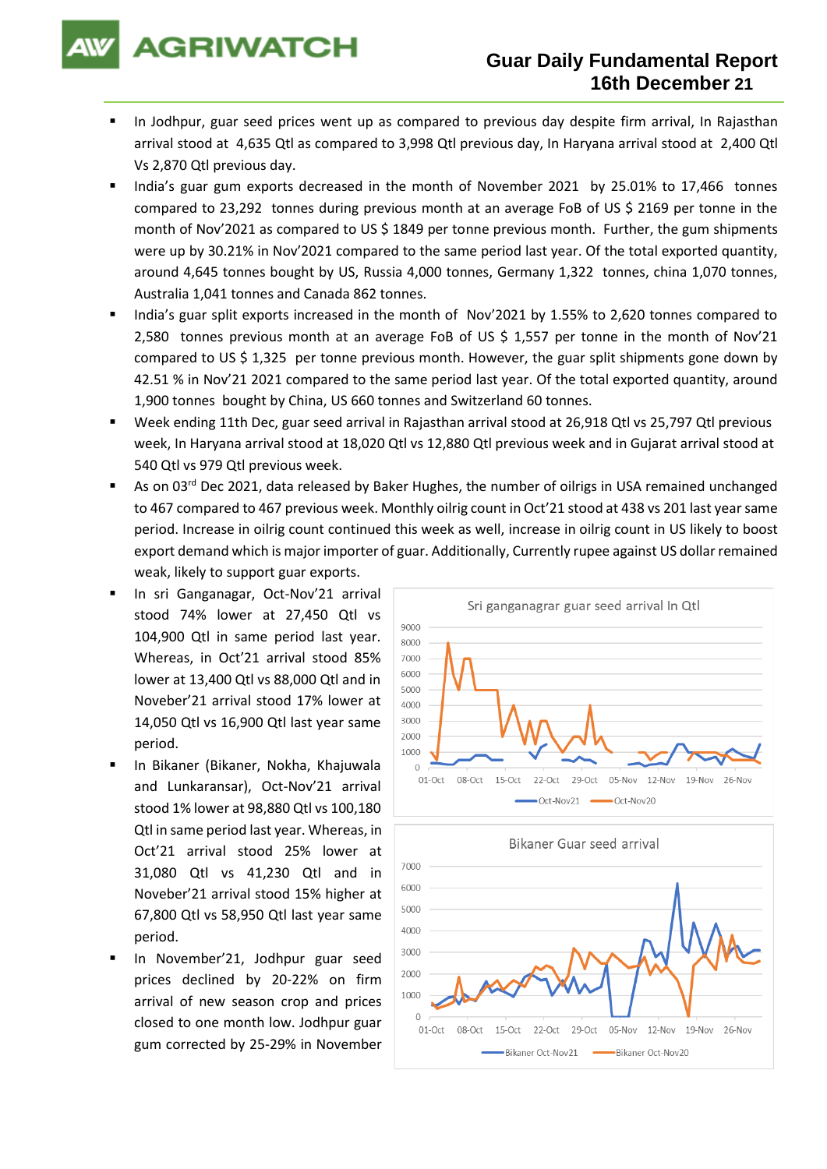# **AGRIWATCH**

### **Guar Daily Fundamental Report 16th December 21**

- In Jodhpur, guar seed prices went up as compared to previous day despite firm arrival, In Rajasthan arrival stood at 4,635 Qtl as compared to 3,998 Qtl previous day, In Haryana arrival stood at 2,400 Qtl Vs 2,870 Qtl previous day.
- India's guar gum exports decreased in the month of November 2021 by 25.01% to 17,466 tonnes compared to 23,292 tonnes during previous month at an average FoB of US \$ 2169 per tonne in the month of Nov'2021 as compared to US \$ 1849 per tonne previous month. Further, the gum shipments were up by 30.21% in Nov'2021 compared to the same period last year. Of the total exported quantity, around 4,645 tonnes bought by US, Russia 4,000 tonnes, Germany 1,322 tonnes, china 1,070 tonnes, Australia 1,041 tonnes and Canada 862 tonnes.
- India's guar split exports increased in the month of Nov'2021 by 1.55% to 2.620 tonnes compared to 2,580 tonnes previous month at an average FoB of US \$ 1,557 per tonne in the month of Nov'21 compared to US \$ 1,325 per tonne previous month. However, the guar split shipments gone down by 42.51 % in Nov'21 2021 compared to the same period last year. Of the total exported quantity, around 1,900 tonnes bought by China, US 660 tonnes and Switzerland 60 tonnes.
- Week ending 11th Dec, guar seed arrival in Rajasthan arrival stood at 26,918 Qtl vs 25,797 Qtl previous week, In Haryana arrival stood at 18,020 Qtl vs 12,880 Qtl previous week and in Gujarat arrival stood at 540 Qtl vs 979 Qtl previous week.
- As on 03<sup>rd</sup> Dec 2021, data released by Baker Hughes, the number of oilrigs in USA remained unchanged to 467 compared to 467 previous week. Monthly oilrig count in Oct'21 stood at 438 vs 201 last year same period. Increase in oilrig count continued this week as well, increase in oilrig count in US likely to boost export demand which is major importer of guar. Additionally, Currently rupee against US dollar remained weak, likely to support guar exports.
- In sri Ganganagar, Oct-Nov'21 arrival stood 74% lower at 27,450 Qtl vs 104,900 Qtl in same period last year. Whereas, in Oct'21 arrival stood 85% lower at 13,400 Qtl vs 88,000 Qtl and in Noveber'21 arrival stood 17% lower at 14,050 Qtl vs 16,900 Qtl last year same period.
- In Bikaner (Bikaner, Nokha, Khajuwala and Lunkaransar), Oct-Nov'21 arrival stood 1% lower at 98,880 Qtl vs 100,180 Qtl in same period last year. Whereas, in Oct'21 arrival stood 25% lower at 31,080 Qtl vs 41,230 Qtl and in Noveber'21 arrival stood 15% higher at 67,800 Qtl vs 58,950 Qtl last year same period.
- In November'21, Jodhpur guar seed prices declined by 20-22% on firm arrival of new season crop and prices closed to one month low. Jodhpur guar gum corrected by 25-29% in November



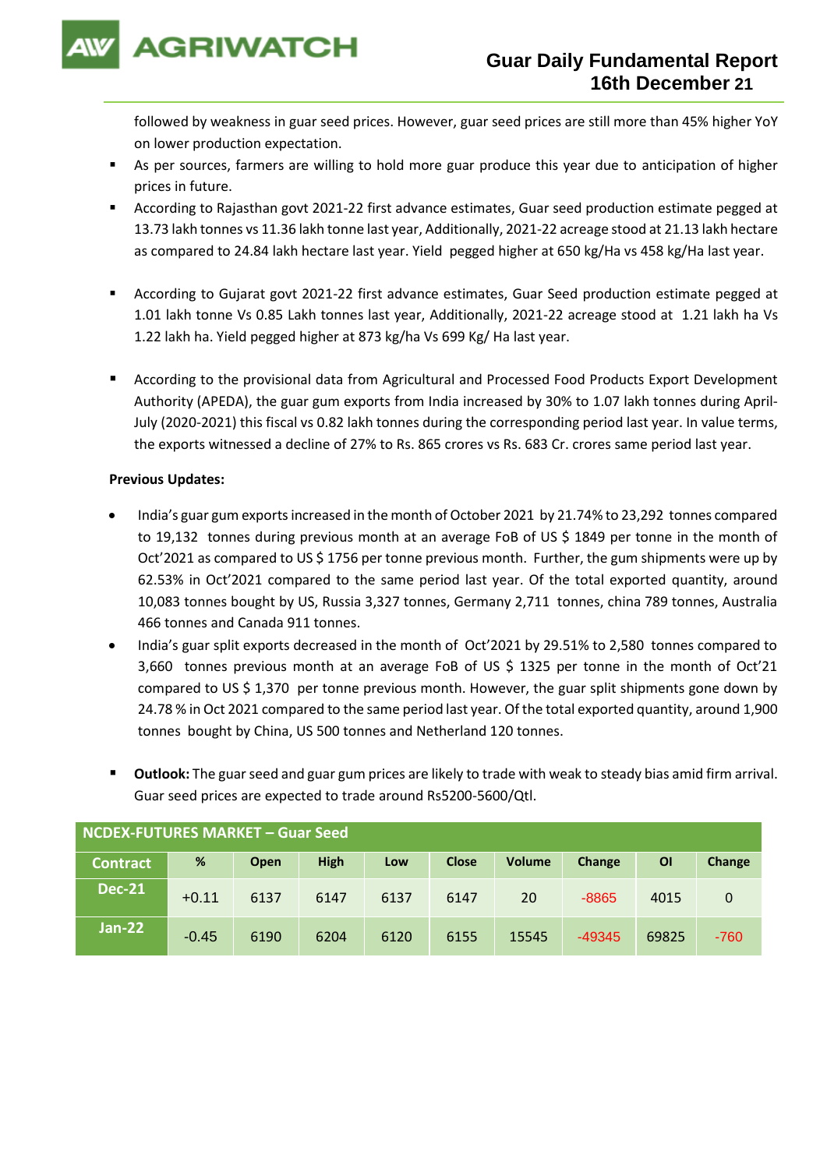

followed by weakness in guar seed prices. However, guar seed prices are still more than 45% higher YoY on lower production expectation.

- As per sources, farmers are willing to hold more guar produce this year due to anticipation of higher prices in future.
- According to Rajasthan govt 2021-22 first advance estimates, Guar seed production estimate pegged at 13.73 lakh tonnes vs 11.36 lakh tonne last year, Additionally, 2021-22 acreage stood at 21.13 lakh hectare as compared to 24.84 lakh hectare last year. Yield pegged higher at 650 kg/Ha vs 458 kg/Ha last year.
- According to Gujarat govt 2021-22 first advance estimates, Guar Seed production estimate pegged at 1.01 lakh tonne Vs 0.85 Lakh tonnes last year, Additionally, 2021-22 acreage stood at 1.21 lakh ha Vs 1.22 lakh ha. Yield pegged higher at 873 kg/ha Vs 699 Kg/ Ha last year.
- According to the provisional data from Agricultural and Processed Food Products Export Development Authority (APEDA), the guar gum exports from India increased by 30% to 1.07 lakh tonnes during April-July (2020-2021) this fiscal vs 0.82 lakh tonnes during the corresponding period last year. In value terms, the exports witnessed a decline of 27% to Rs. 865 crores vs Rs. 683 Cr. crores same period last year.

#### **Previous Updates:**

- India's guar gum exports increased in the month of October 2021 by 21.74% to 23,292 tonnes compared to 19,132 tonnes during previous month at an average FoB of US \$ 1849 per tonne in the month of Oct'2021 as compared to US \$ 1756 per tonne previous month. Further, the gum shipments were up by 62.53% in Oct'2021 compared to the same period last year. Of the total exported quantity, around 10,083 tonnes bought by US, Russia 3,327 tonnes, Germany 2,711 tonnes, china 789 tonnes, Australia 466 tonnes and Canada 911 tonnes.
- India's guar split exports decreased in the month of Oct'2021 by 29.51% to 2,580 tonnes compared to 3,660 tonnes previous month at an average FoB of US \$ 1325 per tonne in the month of Oct'21 compared to US \$ 1,370 per tonne previous month. However, the guar split shipments gone down by 24.78 % in Oct 2021 compared to the same period last year. Of the total exported quantity, around 1,900 tonnes bought by China, US 500 tonnes and Netherland 120 tonnes.
- Outlook: The guar seed and guar gum prices are likely to trade with weak to steady bias amid firm arrival. Guar seed prices are expected to trade around Rs5200-5600/Qtl.

| NCDEX-FUTURES MARKET - Guar Seed |         |      |             |      |              |               |          |           |        |
|----------------------------------|---------|------|-------------|------|--------------|---------------|----------|-----------|--------|
| <b>Contract</b>                  | %       | Open | <b>High</b> | Low  | <b>Close</b> | <b>Volume</b> | Change   | <b>OI</b> | Change |
| <b>Dec-21</b>                    | $+0.11$ | 6137 | 6147        | 6137 | 6147         | 20            | $-8865$  | 4015      | 0      |
| Jan-22                           | $-0.45$ | 6190 | 6204        | 6120 | 6155         | 15545         | $-49345$ | 69825     | $-760$ |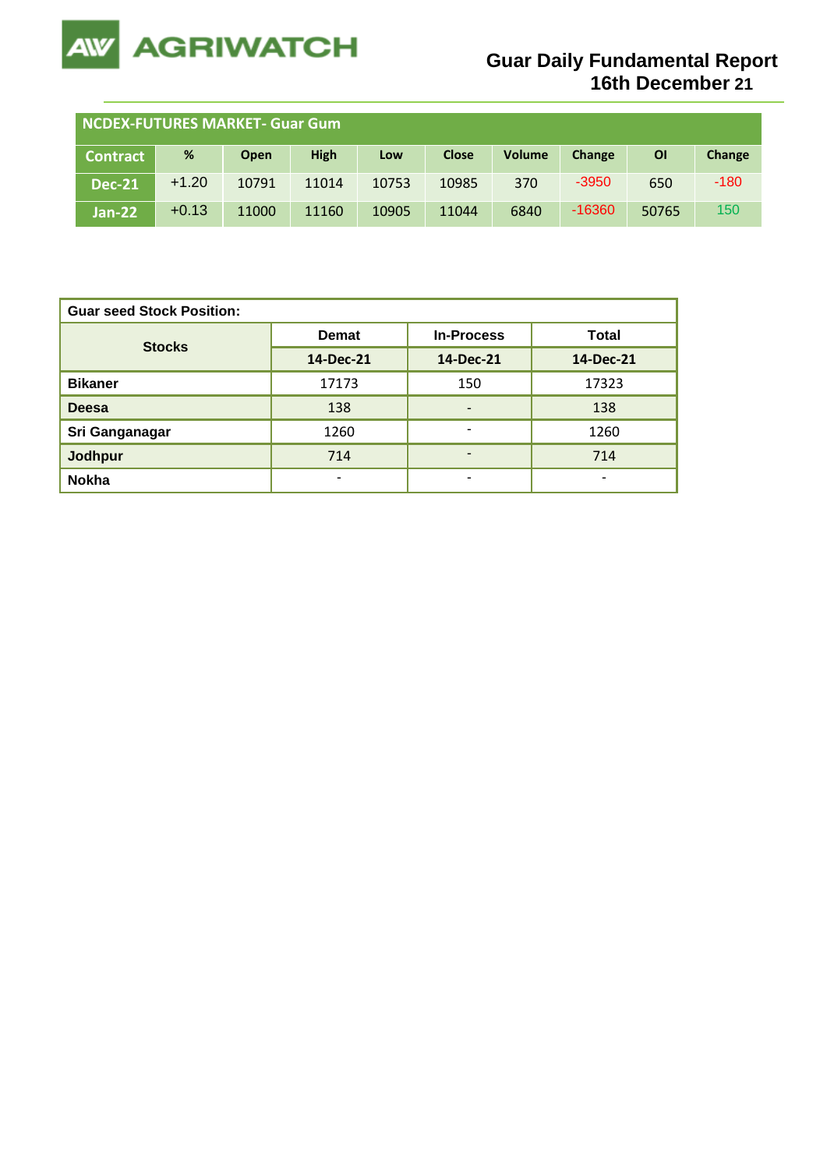

| <b>NCDEX-FUTURES MARKET- Guar Gum</b> |         |       |             |       |              |               |               |           |        |
|---------------------------------------|---------|-------|-------------|-------|--------------|---------------|---------------|-----------|--------|
| <b>Contract</b>                       | %       | Open  | <b>High</b> | Low   | <b>Close</b> | <b>Volume</b> | <b>Change</b> | <b>OI</b> | Change |
| <b>Dec-21</b>                         | $+1.20$ | 10791 | 11014       | 10753 | 10985        | 370           | $-3950$       | 650       | $-180$ |
| $Jan-22$                              | $+0.13$ | 11000 | 11160       | 10905 | 11044        | 6840          | $-16360$      | 50765     | 150    |

| <b>Guar seed Stock Position:</b> |                          |                   |                          |  |  |  |  |
|----------------------------------|--------------------------|-------------------|--------------------------|--|--|--|--|
| <b>Stocks</b>                    | <b>Demat</b>             | <b>In-Process</b> | <b>Total</b>             |  |  |  |  |
|                                  | 14-Dec-21                | 14-Dec-21         | 14-Dec-21                |  |  |  |  |
| <b>Bikaner</b>                   | 17173                    | 150               | 17323                    |  |  |  |  |
| <b>Deesa</b>                     | 138                      | -                 | 138                      |  |  |  |  |
| Sri Ganganagar                   | 1260                     | ۰                 | 1260                     |  |  |  |  |
| <b>Jodhpur</b>                   | 714                      | -                 | 714                      |  |  |  |  |
| <b>Nokha</b>                     | $\overline{\phantom{0}}$ | ۰                 | $\overline{\phantom{0}}$ |  |  |  |  |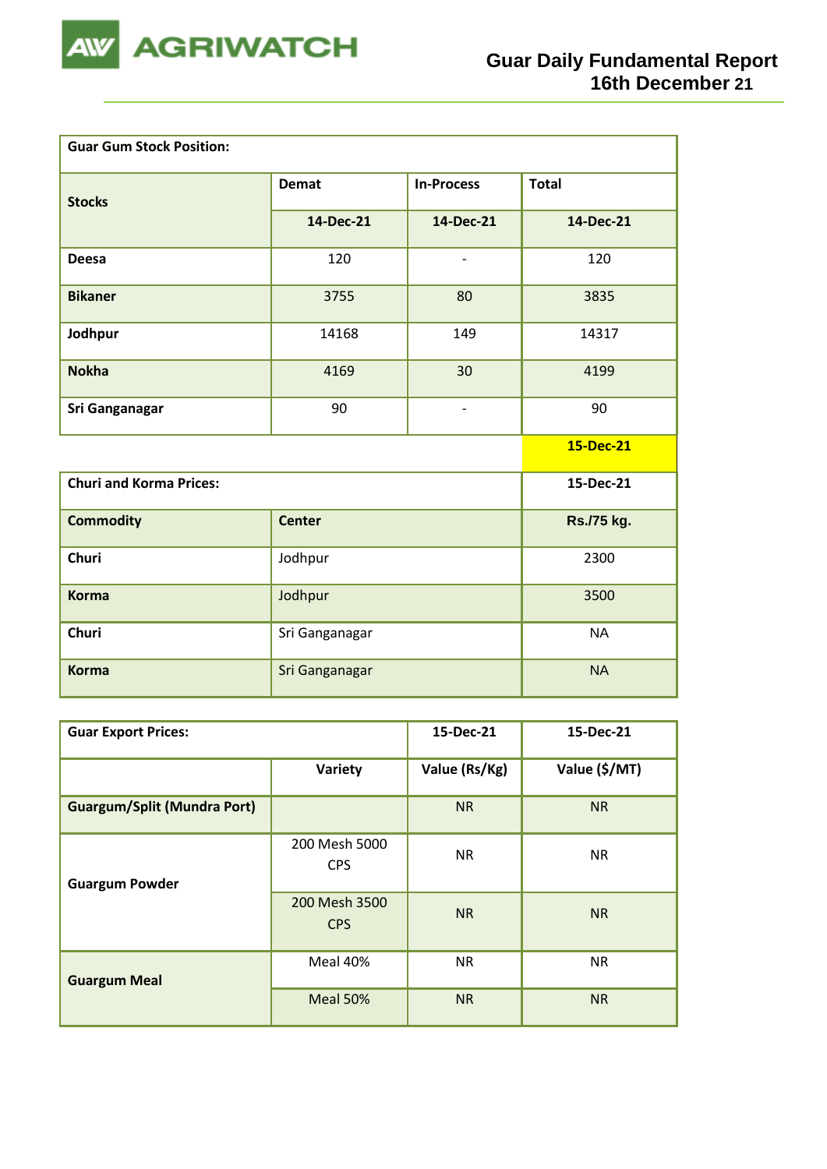

| <b>Guar Gum Stock Position:</b> |                |                   |              |  |  |  |
|---------------------------------|----------------|-------------------|--------------|--|--|--|
| <b>Stocks</b>                   | <b>Demat</b>   | <b>In-Process</b> | <b>Total</b> |  |  |  |
|                                 | 14-Dec-21      | 14-Dec-21         | 14-Dec-21    |  |  |  |
| <b>Deesa</b>                    | 120            | $\qquad \qquad -$ | 120          |  |  |  |
| <b>Bikaner</b>                  | 3755           | 80                | 3835         |  |  |  |
| Jodhpur                         | 14168          | 149               | 14317        |  |  |  |
| <b>Nokha</b>                    | 4169           | 30                | 4199         |  |  |  |
| <b>Sri Ganganagar</b>           | 90             | $\qquad \qquad -$ | 90           |  |  |  |
|                                 |                |                   | 15-Dec-21    |  |  |  |
| <b>Churi and Korma Prices:</b>  |                |                   | 15-Dec-21    |  |  |  |
| <b>Commodity</b>                | <b>Center</b>  |                   | Rs./75 kg.   |  |  |  |
| Churi                           | Jodhpur        |                   | 2300         |  |  |  |
| <b>Korma</b>                    | Jodhpur        |                   | 3500         |  |  |  |
| <b>Churi</b>                    | Sri Ganganagar |                   | <b>NA</b>    |  |  |  |
| <b>Korma</b>                    | Sri Ganganagar |                   | <b>NA</b>    |  |  |  |

| <b>Guar Export Prices:</b>         | 15-Dec-21                   | 15-Dec-21     |               |
|------------------------------------|-----------------------------|---------------|---------------|
|                                    | Variety                     | Value (Rs/Kg) | Value (\$/MT) |
| <b>Guargum/Split (Mundra Port)</b> |                             | <b>NR</b>     | <b>NR</b>     |
| <b>Guargum Powder</b>              | 200 Mesh 5000<br><b>CPS</b> | <b>NR</b>     | <b>NR</b>     |
|                                    | 200 Mesh 3500<br><b>CPS</b> | <b>NR</b>     | <b>NR</b>     |
| <b>Guargum Meal</b>                | Meal 40%                    | <b>NR</b>     | <b>NR</b>     |
|                                    | Meal 50%                    | <b>NR</b>     | <b>NR</b>     |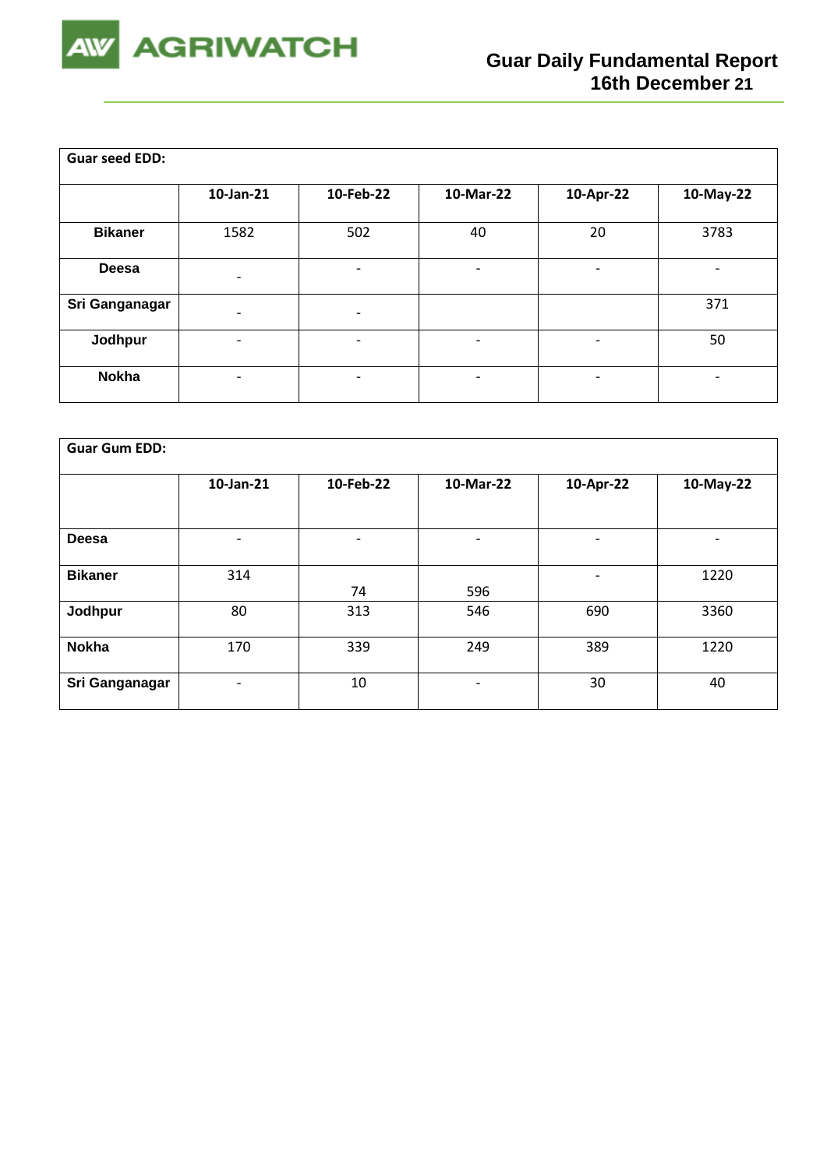

| <b>Guar seed EDD:</b> |                          |                          |                          |                          |                          |
|-----------------------|--------------------------|--------------------------|--------------------------|--------------------------|--------------------------|
|                       | 10-Jan-21                | 10-Feb-22                | 10-Mar-22                | 10-Apr-22                | 10-May-22                |
| <b>Bikaner</b>        | 1582                     | 502                      | 40                       | 20                       | 3783                     |
| <b>Deesa</b>          | $\overline{\phantom{0}}$ | $\overline{a}$           | ٠                        | -                        | $\overline{\phantom{a}}$ |
| Sri Ganganagar        | $\overline{a}$           | $\overline{\phantom{a}}$ |                          |                          | 371                      |
| Jodhpur               | $\overline{\phantom{0}}$ | $\overline{\phantom{0}}$ | $\overline{\phantom{0}}$ | $\overline{\phantom{a}}$ | 50                       |
| <b>Nokha</b>          |                          | $\overline{\phantom{0}}$ | $\overline{\phantom{a}}$ | -                        | $\overline{\phantom{a}}$ |

| <b>Guar Gum EDD:</b> |                          |                          |                          |                          |                          |  |  |  |
|----------------------|--------------------------|--------------------------|--------------------------|--------------------------|--------------------------|--|--|--|
|                      | 10-Jan-21                | 10-Feb-22                | 10-Mar-22                | 10-Apr-22                | 10-May-22                |  |  |  |
|                      |                          |                          |                          |                          |                          |  |  |  |
| <b>Deesa</b>         | $\overline{\phantom{0}}$ | $\overline{\phantom{0}}$ | $\overline{\phantom{a}}$ | $\overline{\phantom{0}}$ | $\overline{\phantom{0}}$ |  |  |  |
| <b>Bikaner</b>       | 314                      | 74                       | 596                      | $\overline{\phantom{0}}$ | 1220                     |  |  |  |
| Jodhpur              | 80                       | 313                      | 546                      | 690                      | 3360                     |  |  |  |
| <b>Nokha</b>         | 170                      | 339                      | 249                      | 389                      | 1220                     |  |  |  |
| Sri Ganganagar       | $\overline{\phantom{0}}$ | 10                       | $\overline{\phantom{0}}$ | 30                       | 40                       |  |  |  |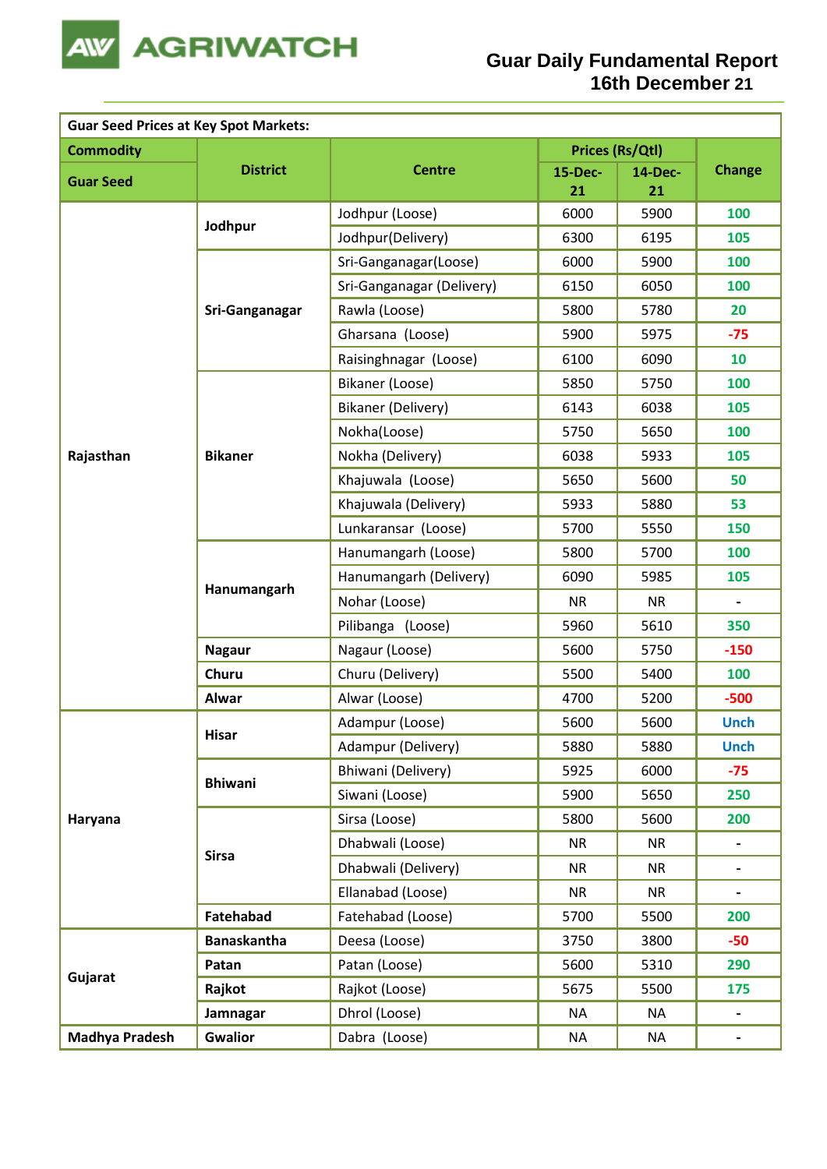

| <b>Guar Seed Prices at Key Spot Markets:</b> |                    |                           |           |                 |                              |  |  |
|----------------------------------------------|--------------------|---------------------------|-----------|-----------------|------------------------------|--|--|
| <b>Commodity</b>                             |                    |                           |           | Prices (Rs/Qtl) |                              |  |  |
| <b>Guar Seed</b>                             | <b>District</b>    | <b>Centre</b>             | 15-Dec-   | <b>14-Dec-</b>  | <b>Change</b>                |  |  |
|                                              |                    |                           | 21        | 21              |                              |  |  |
|                                              | Jodhpur            | Jodhpur (Loose)           | 6000      | 5900            | 100                          |  |  |
|                                              |                    | Jodhpur(Delivery)         | 6300      | 6195            | 105                          |  |  |
|                                              |                    | Sri-Ganganagar(Loose)     | 6000      | 5900            | 100                          |  |  |
|                                              |                    | Sri-Ganganagar (Delivery) | 6150      | 6050            | 100                          |  |  |
|                                              | Sri-Ganganagar     | Rawla (Loose)             | 5800      | 5780            | 20                           |  |  |
|                                              |                    | Gharsana (Loose)          | 5900      | 5975            | $-75$                        |  |  |
|                                              |                    | Raisinghnagar (Loose)     | 6100      | 6090            | 10                           |  |  |
|                                              |                    | Bikaner (Loose)           | 5850      | 5750            | 100                          |  |  |
|                                              |                    | Bikaner (Delivery)        | 6143      | 6038            | 105                          |  |  |
|                                              |                    | Nokha(Loose)              | 5750      | 5650            | 100                          |  |  |
| Rajasthan                                    | <b>Bikaner</b>     | Nokha (Delivery)          | 6038      | 5933            | 105                          |  |  |
|                                              |                    | Khajuwala (Loose)         | 5650      | 5600            | 50                           |  |  |
|                                              |                    | Khajuwala (Delivery)      | 5933      | 5880            | 53                           |  |  |
|                                              |                    | Lunkaransar (Loose)       | 5700      | 5550            | 150                          |  |  |
|                                              | Hanumangarh        | Hanumangarh (Loose)       | 5800      | 5700            | 100                          |  |  |
|                                              |                    | Hanumangarh (Delivery)    | 6090      | 5985            | 105                          |  |  |
|                                              |                    | Nohar (Loose)             | <b>NR</b> | <b>NR</b>       |                              |  |  |
|                                              |                    | Pilibanga (Loose)         | 5960      | 5610            | 350                          |  |  |
|                                              | <b>Nagaur</b>      | Nagaur (Loose)            | 5600      | 5750            | $-150$                       |  |  |
|                                              | Churu              | Churu (Delivery)          | 5500      | 5400            | 100                          |  |  |
|                                              | <b>Alwar</b>       | Alwar (Loose)             | 4700      | 5200            | $-500$                       |  |  |
|                                              |                    | Adampur (Loose)           | 5600      | 5600            | <b>Unch</b>                  |  |  |
|                                              | Hisar              | Adampur (Delivery)        | 5880      | 5880            | <b>Unch</b>                  |  |  |
|                                              |                    | Bhiwani (Delivery)        | 5925      | 6000            | $-75$                        |  |  |
|                                              | <b>Bhiwani</b>     | Siwani (Loose)            | 5900      | 5650            | 250                          |  |  |
| Haryana                                      |                    | Sirsa (Loose)             | 5800      | 5600            | 200                          |  |  |
|                                              |                    | Dhabwali (Loose)          | <b>NR</b> | <b>NR</b>       | -                            |  |  |
|                                              | <b>Sirsa</b>       | Dhabwali (Delivery)       | <b>NR</b> | <b>NR</b>       | $\blacksquare$               |  |  |
|                                              |                    | Ellanabad (Loose)         | <b>NR</b> | <b>NR</b>       | $\qquad \qquad \blacksquare$ |  |  |
|                                              | Fatehabad          | Fatehabad (Loose)         | 5700      | 5500            | 200                          |  |  |
|                                              | <b>Banaskantha</b> | Deesa (Loose)             | 3750      | 3800            | $-50$                        |  |  |
|                                              | Patan              | Patan (Loose)             | 5600      | 5310            | 290                          |  |  |
| Gujarat                                      | Rajkot             | Rajkot (Loose)            | 5675      | 5500            | 175                          |  |  |
|                                              | Jamnagar           | Dhrol (Loose)             | NA        | <b>NA</b>       | $\blacksquare$               |  |  |
| <b>Madhya Pradesh</b>                        | <b>Gwalior</b>     | Dabra (Loose)             | <b>NA</b> | <b>NA</b>       | $\blacksquare$               |  |  |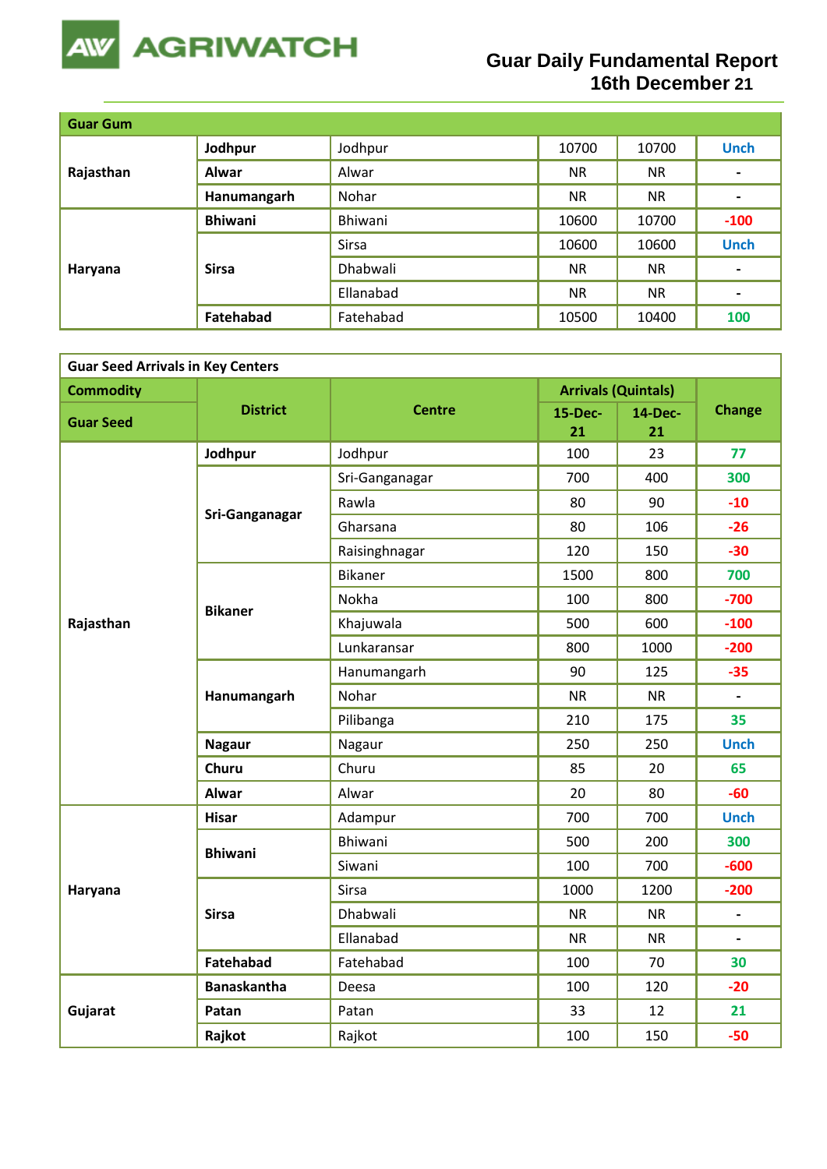

## **Guar Daily Fundamental Report 16th December 21**

| <b>Guar Gum</b> |                  |           |           |           |                |
|-----------------|------------------|-----------|-----------|-----------|----------------|
| Rajasthan       | Jodhpur          | Jodhpur   | 10700     | 10700     | <b>Unch</b>    |
|                 | Alwar            | Alwar     | <b>NR</b> | <b>NR</b> | $\blacksquare$ |
|                 | Hanumangarh      | Nohar     | <b>NR</b> | <b>NR</b> | $\blacksquare$ |
|                 | <b>Bhiwani</b>   | Bhiwani   | 10600     | 10700     | $-100$         |
|                 | <b>Sirsa</b>     | Sirsa     | 10600     | 10600     | <b>Unch</b>    |
| Haryana         |                  | Dhabwali  | <b>NR</b> | <b>NR</b> | $\blacksquare$ |
|                 |                  | Ellanabad | <b>NR</b> | <b>NR</b> | $\blacksquare$ |
|                 | <b>Fatehabad</b> | Fatehabad | 10500     | 10400     | 100            |

| <b>Guar Seed Arrivals in Key Centers</b> |                    |                |               |                            |                          |  |  |
|------------------------------------------|--------------------|----------------|---------------|----------------------------|--------------------------|--|--|
| <b>Commodity</b>                         |                    |                |               | <b>Arrivals (Quintals)</b> |                          |  |  |
| <b>Guar Seed</b>                         | <b>District</b>    | <b>Centre</b>  | 15-Dec-<br>21 | <b>14-Dec-</b><br>21       | <b>Change</b>            |  |  |
|                                          | Jodhpur            | Jodhpur        | 100           | 23                         | 77                       |  |  |
|                                          |                    | Sri-Ganganagar | 700           | 400                        | 300                      |  |  |
|                                          | Sri-Ganganagar     | Rawla          | 80            | 90                         | $-10$                    |  |  |
|                                          |                    | Gharsana       | 80            | 106                        | $-26$                    |  |  |
|                                          |                    | Raisinghnagar  | 120           | 150                        | $-30$                    |  |  |
|                                          |                    | <b>Bikaner</b> | 1500          | 800                        | 700                      |  |  |
|                                          | <b>Bikaner</b>     | Nokha          | 100           | 800                        | $-700$                   |  |  |
| Rajasthan                                |                    | Khajuwala      | 500           | 600                        | $-100$                   |  |  |
|                                          |                    | Lunkaransar    | 800           | 1000                       | $-200$                   |  |  |
|                                          | Hanumangarh        | Hanumangarh    | 90            | 125                        | $-35$                    |  |  |
|                                          |                    | Nohar          | <b>NR</b>     | <b>NR</b>                  |                          |  |  |
|                                          |                    | Pilibanga      | 210           | 175                        | 35                       |  |  |
|                                          | <b>Nagaur</b>      | Nagaur         | 250           | 250                        | <b>Unch</b>              |  |  |
|                                          | <b>Churu</b>       | Churu          | 85            | 20                         | 65                       |  |  |
|                                          | <b>Alwar</b>       | Alwar          | 20            | 80                         | $-60$                    |  |  |
|                                          | <b>Hisar</b>       | Adampur        | 700           | 700                        | <b>Unch</b>              |  |  |
|                                          | <b>Bhiwani</b>     | <b>Bhiwani</b> | 500           | 200                        | 300                      |  |  |
|                                          |                    | Siwani         | 100           | 700                        | $-600$                   |  |  |
| Haryana                                  |                    | Sirsa          | 1000          | 1200                       | $-200$                   |  |  |
|                                          | <b>Sirsa</b>       | Dhabwali       | <b>NR</b>     | <b>NR</b>                  | $\overline{\phantom{a}}$ |  |  |
|                                          |                    | Ellanabad      | <b>NR</b>     | <b>NR</b>                  | $\overline{\phantom{a}}$ |  |  |
|                                          | <b>Fatehabad</b>   | Fatehabad      | 100           | 70                         | 30                       |  |  |
|                                          | <b>Banaskantha</b> | Deesa          | 100           | 120                        | $-20$                    |  |  |
| Gujarat                                  | Patan              | Patan          | 33            | 12                         | 21                       |  |  |
|                                          | Rajkot             | Rajkot         | 100           | 150                        | $-50$                    |  |  |